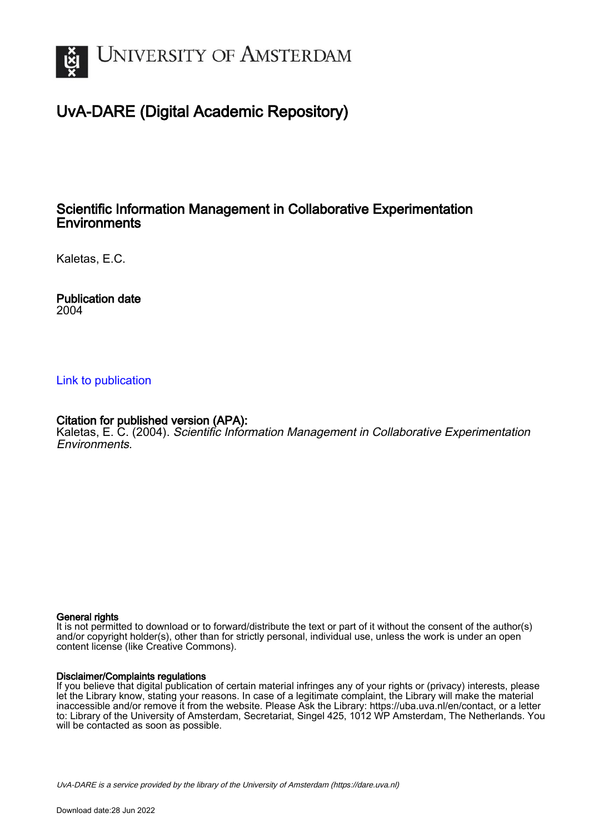

# UvA-DARE (Digital Academic Repository)

# Scientific Information Management in Collaborative Experimentation **Environments**

Kaletas, E.C.

Publication date 2004

### [Link to publication](https://dare.uva.nl/personal/pure/en/publications/scientific-information-management-in-collaborative-experimentation-environments(661104be-e55a-4373-8882-7fdaffcf2406).html)

## Citation for published version (APA):

Kaletas, E. C. (2004). Scientific Information Management in Collaborative Experimentation Environments.

#### General rights

It is not permitted to download or to forward/distribute the text or part of it without the consent of the author(s) and/or copyright holder(s), other than for strictly personal, individual use, unless the work is under an open content license (like Creative Commons).

#### Disclaimer/Complaints regulations

If you believe that digital publication of certain material infringes any of your rights or (privacy) interests, please let the Library know, stating your reasons. In case of a legitimate complaint, the Library will make the material inaccessible and/or remove it from the website. Please Ask the Library: https://uba.uva.nl/en/contact, or a letter to: Library of the University of Amsterdam, Secretariat, Singel 425, 1012 WP Amsterdam, The Netherlands. You will be contacted as soon as possible.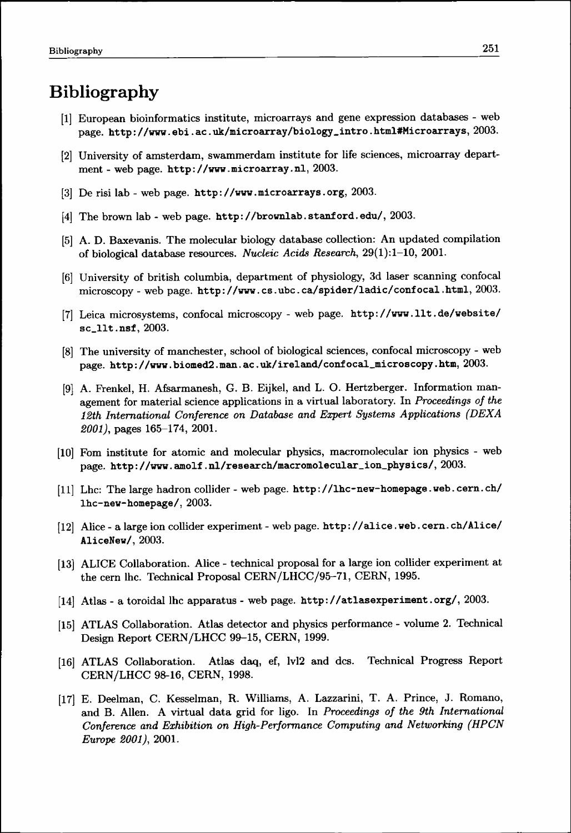# **Bibliography y**

- [1]] European bioinformatics institute, microarrays and gene expression databases web page,, [http://www.ebi.ac.uk/microarray/biology\\_intro.html#Microarrays](http://www.ebi.ac.uk/microarray/biology_intro.html%23Microarrays), 2003.
- [2]] University of amsterdam, swammerdam institute for life sciences, microarray department - web page.<http://www.microarray.nl>, 2003.
- [3]] De risi lab web page,<http://www.microarrays.org>, 2003.
- [4]] The brown lab web page,<http://brownlab.stanford.edu/>, 2003.
- [5]] A. D. Baxevanis. The molecular biology database collection: An updated compilation of biological database resources. *Nucleic Acids Research*, 29(1):1-10, 2001.
- [6]] University of british Columbia, department of physiology, 3d laser scanning confocal microscopy - web page.<http://www.cs.ubc.ca/spider/ladic/confocal.html>, 2003.
- [7]] Leica microsystems, confocal microscopy web page, [http://www.llt.de/website](http://www.llt.de/website/) / sc\_11t.nsf, 2003.
- [8]] The university of manchester, school of biological sciences, confocal microscopy web page. http://www.biomed2.man.ac.uk/ireland/confocal\_microscopy.htm, 2003.
- [9]] A. Frenkel, H. Afsarmanesh, G. B. Eijkel, and L. O. Hertzberger. Information management for material science applications in a virtual laboratory. In *Proceedings of the* 12th International Conference on Database and Expert Systems Applications (DEXA *2001),2001),* pages 165-174, 2001.
- [10]] Fom institute for atomic and molecular physics, macromolecular ion physics web page. [http://www.amolf.nl/research/macromolecular\\_ion\\_physics/](http://www.amolf.nl/research/macromolecular_ion_physics/), 2003.
- [11] Lhc: The large hadron collider web page, [http://lhc-new-homepage.web.cern.ch](http://lhc-new-homepage.web.cern.ch/)/ lhc-new-homepage/,, 2003.
- [12]] Alice a large ion collider experiment web page, http : //alice . web. cern. ch/Alice/ AliceNew/, 2003.
- [13]] ALICE Collaboration. Alice technical proposal for a large ion collider experiment at the cern lhc. Technical Proposal CERN/LHCC/95-71, CERN, 1995.
- [14]] Atlas a toroidal lhc apparatus web page,<http://atlasexperiment.org/>, 2003.
- [15] ATLAS Collaboration. Atlas detector and physics performance volume 2. Technical Design Report CERN/LHCC 99-15, CERN, 1999.
- [16]] ATLAS Collaboration. Atlas daq, ef, lvl2 and dcs. Technical Progress Report CERN/LHCC 98-16, CERN, 1998.
- [17]] E. Deelman, C. Kesselman, R. Williams, A. Lazzarini, T. A. Prince, J. Romano, and B. Allen. A virtual data grid for ligo. In *Proceedings of the 9th International Conference and Exhibition on High-Performance Computing and Networking (HPCN Europe 2001*, 2001.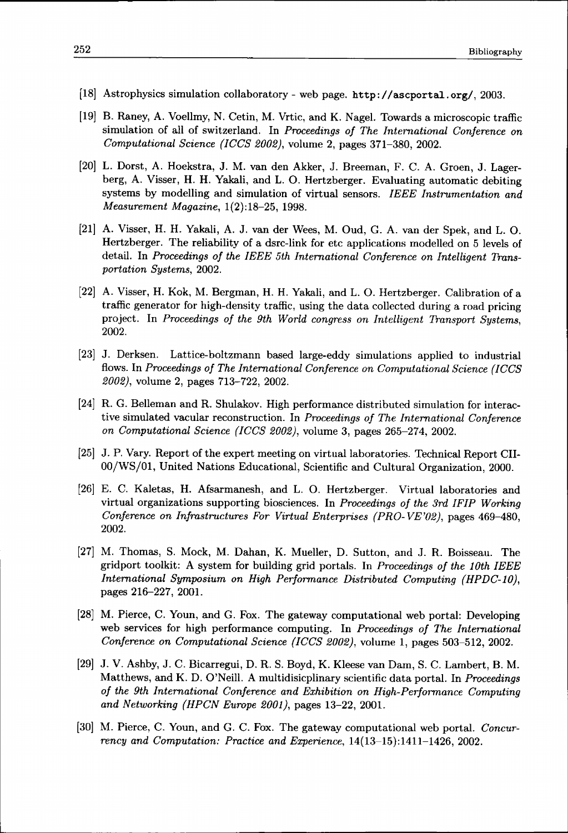- [18]] Astrophysics simulation collaboratory web page,<http://ascportal.org/> , 2003.
- [19]] B. Raney, A. Voellmy, N. Cetin, M. Vrtic, and K. Nagel. Towards a microscopic traffic simulation of all of switzerland. In Proceedings of The International Conference on *Computational Science (ICCS 2002), volume 2, pages 371-380, 2002.*
- [20]] L. Dorst, A. Hoekstra, J. M. van den Akker, J. Breeman, F. C. A. Groen, J. Lagerberg,, A. Visser, H. H. Yakali, and L. O. Hertzberger. Evaluating automatic debiting systems by modelling and simulation of virtual sensors. IEEE Instrumentation and *Measurement Magazine*, 1(2):18-25, 1998.
- [21]] A. Visser, H. H. Yakali, A. J. van der Wees, M. Oud, G. A. van der Spek, and L. O. Hertzberger.. The reliability of a dsrc-link for etc applications modelled on 5 levels of detail.. In *Proceedings of the IEEE 5th International Conference on Intelligent Trans* $portation\ Systems$ , 2002.
- [22]] A. Visser, H. Kok, M. Bergman, H. H. Yakali, and L. O. Hertzberger. Calibration of a traffic generator for high-density traffic, using the data collected during a road pricing project.. In *Proceedings of the 9th World congress on Intelligent Transport Systems,*  2002. .
- [23]] J. Derksen. Lattice-boltzmann based large-eddy simulations applied to industrial flows. In *Proceedings of The International Conference on Computational Science (ICCS 2002),2002),* volume 2, pages 713-722, 2002.
- [24] R. G. Belleman and R. Shulakov. High performance distributed simulation for interactive simulated vacular reconstruction. In Proceedings of The International Conference *on Computational Science (ICCS 2002),* volume 3, pages 265-274, 2002.
- [25]] J. P. Vary. Report of the expert meeting on virtual laboratories. Technical Report CII-00/WS/01, United Nations Educational, Scientific and Cultural Organization, 2000.
- [26]] E. C. Kaletas, H. Afsarmanesh, and L. O. Hertzberger. Virtual laboratories and virtuall organizations supporting biosciences. In *Proceedings of the 3rd IFIP Working Conference on Infrastructures For Virtual Enterprises (PRO-VE'02),* pages 469-480, 2002. .
- [27]] M. Thomas, S. Mock, M. Dahan, K. Mueller, D. Sutton, and J. R. Boisseau. The gridport toolkit: A system for building grid portals. In Proceedings of the 10th IEEE *International Symposium on High Performance Distributed Computing (HPDC-10),* pagess 216-227, 2001.
- [28]] M. Pierce, C. Youn, and G. Fox. The gateway computational web portal: Developing web services for high performance computing. In Proceedings of The International *Conference on Computational Science (ICCS 2002),* volume 1, pages 503-512, 2002.
- [29]] J. V. Ashby, J. C. Bicarregui, D. R. S. Boyd, K. Kleese van Dam, S. C. Lambert, B. M. Matthews,, and K. D. O'Neill. A multidisicplinary scientific data portal. In *Proceedings of the 9th International Conference and Exhibition on High-Performance Computing and Networking (HPCN Europe 2001)*, pages 13-22, 2001.
- [30]] M. Pierce, C. Youn, and G. C. Fox. The gateway computational web portal. *Concurrency and Computation: Practice and Experience,* 14(13-15):1411-1426, 2002.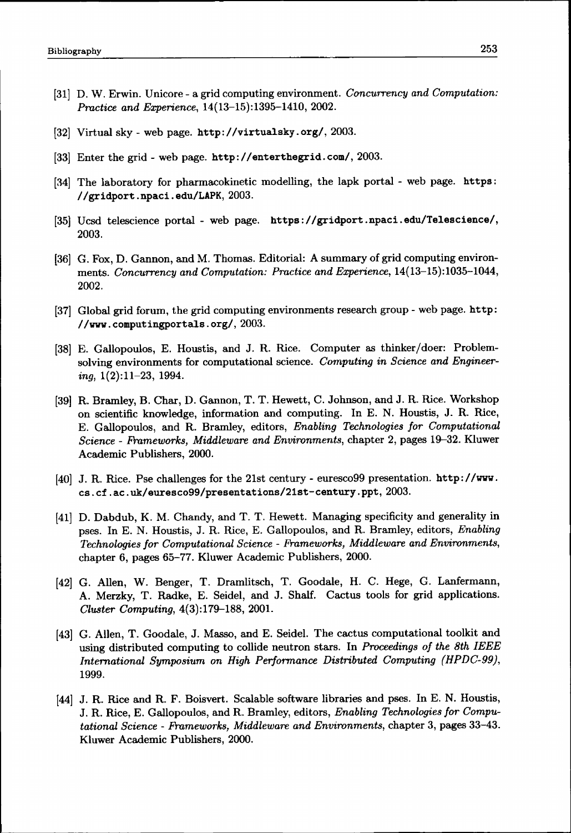- [31]] D. W. Erwin. Unicore a grid computing environment. *Concurrency and Computation: Practice and Experience,* 14(13-15): 1395-1410, 2002.
- [32] Virtual sky web page,<http://virtualsky.org/>, 2003.
- [33] Enter the grid web page,<http://enterthegrid.com/>, 2003.
- [34] The laboratory for pharmacokinetic modelling, the lapk portal web page. https: //gr[idport.npaci.edu/LAPK,](http://idport.npaci.edu/LAPK), 2003.
- [35]] Ucsd telescience portal web page. <https://gridport.npaci.edu/Telescience/>, 2003. .
- [36] G. Fox, D. Gannon, and M. Thomas. Editorial: A summary of grid computing environments.. *Concurrency and Computation: Practice and Experience,* 14(13-15): 1035-1044, 2002. .
- [37] Global grid forum, the grid computing environments research group web page. http: //[www.computingportals.org/,](http://www.computingportals.org/), 2003.
- [38]] E. Gallopoulos, E. Houstis, and J. R. Rice. Computer as thinker/doer: Problemsolving environments for computational science. Computing in Science and Engineer*ing*, 1(2): 11-23, 1994.
- [39]] R. Bramley, B. Char, D. Gannon, T. T. Hewett, C. Johnson, and J. R. Rice. Workshop on scientific knowledge, information and computing. In E. N. Houstis, J. R. Rice, E.. Gallopoulos, and R. Bramley, editors, *Enabling Technologies for Computational Science - Frameworks, Middleware and Environments, chapter 2, pages 19-32. Kluwer* Academic Publishers, 2000.
- [40]] J. R. Rice. Pse challenges for the 21st century euresco99 presentation, <http://www>. cs.cf.[ac.uk/euresco99/presentations/21st-century.](http://ac.uk/euresco99/presentations/21st-century)ppt,, 2003.
- [41]] D. Dabdub, K. M. Chandy, and T. T. Hewett. Managing specificity and generality in pses.. In E. N. Houstis, J. R. Rice, E. Gallopoulos, and R. Bramley, editors, *Enabling Technologies for Computational Science - Frameworks, Middleware and Environments,* chapter 6, pages 65-77. Kluwer Academic Publishers, 2000.
- [42]] G. Allen, W. Benger, T. Dramlitsch, T. Goodale, H. C. Hege, G. Lanfermann, A. Merzky, T. Radke, E. Seidel, and J. Shalf. Cactus tools for grid applications. *ClusterCluster Computing,* 4(3): 179-188, 2001.
- [43] G. Allen, T. Goodale, J. Masso, and E. Seidel. The cactus computational toolkit and usingg distributed computing to collide neutron stars. In *Proceedings of the 8th IEEE International Symposium on High Performance Distributed Computing (HPDC-99),* 1999. .
- [44] J. R. Rice and R. F. Boisvert. Scalable software libraries and pses. In E. N. Houstis, J.. R. Rice, E. Gallopoulos, and R. Bramley, editors, *Enabling Technologies for Compu*tational Science - Frameworks, Middleware and Environments, chapter 3, pages 33-43. Kluwer Academic Publishers, 2000.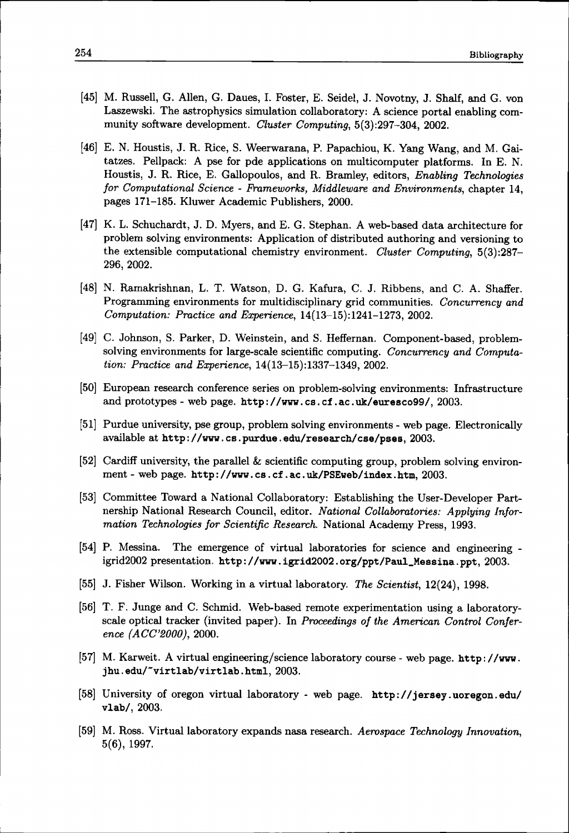- [45] M. Russell, G. Allen, G. Daues, I. Foster, E. Seidel, J. Novotny, J. Shalf, and G. von Laszewski.. The astrophysics simulation collaboratory: A science portal enabling community software development. *Cluster Computing*, 5(3):297-304, 2002.
- [46]] E. N. Houstis, J. R. Rice, S. Weerwarana, P. Papachiou, K. Yang Wang, and M. Gaitatzes.. Pellpack: A pse for pde applications on multicomputer platforms. In E. N. Houstis,, J. R. Rice, E. Gallopoulos, and R. Bramley, editors, *Enabling Technologies for Computational Science - Frameworks, Middleware and Environments, chapter 14,* pagess 171-185. Kluwer Academic Publishers, 2000.
- [47]] K. L. Schuchardt, J. D. Myers, and E. G. Stephan. A web-based data architecture for problem solving environments: Application of distributed authoring and versioning to the extensible computational chemistry environment. *Cluster Computing*, 5(3):287– 296,, 2002.
- [48]] N. Ramakrishnan, L. T. Watson, D. G. Kafura, C. J. Ribbens, and C. A. Shaffer. Programmingg environments for multidisciplinary grid communities. *Concurrency and Computation: Practice and Experience,* 14(13-15):1241-1273, 2002.
- [49] C. Johnson, S. Parker, D. Weinstein, and S. Heffernan. Component-based, problemsolving environments for large-scale scientific computing. *Concurrency and Computation: Practice and Experience,* 14(13-15):1337-1349, 2002.
- [50]] European research conference series on problem-solving environments: Infrastructure and prototypes - web page, http://www.cs.cf.ac.uk/euresco99/, 2003.
- [51]] Purdue university, pse group, problem solving environments web page. Electronically available a[t http://www.cs.purdue.edu/research/cse/pses](http://www.cs.purdue.edu/research/cse/pses), 2003.
- [52] Cardiff university, the parallel & scientific computing group, problem solving environment - web page. http://www.cs.cf.ac.uk/PSEweb/index.htm, 2003.
- [53]] Committee Toward a National Collaboratory: Establishing the User-Developer Partnership National Research Council, editor. National Collaboratories: Applying Infor*mation Technologies for Scientific Research.* National Academy Press, 1993.
- [54]] P. Messina. The emergence of virtual laboratories for science and engineering igrid20022 presentation. [http://www.igrid2002.org/ppt/Paul\\_Messina.ppt](http://www.igrid2002.org/ppt/Paul_Messina.ppt), 2003.
- [55]] J. Fisher Wilson. Working in a virtual laboratory. *The Scientist,* 12(24), 1998.
- [56]] T. F. Junge and C. Schmid. Web-based remote experimentation using a laboratoryscale optical tracker (invited paper). In Proceedings of the American Control Confer*ence* (ACC'2000), 2000.
- [57]] M. Karweit. A virtual engineering/science laboratory course web page, <http://www>. jhu.edu/~virtlab/virtlab.html, 2003.
- [58]] University of oregon virtual laboratory web page, [http://jersey.uoregon.edu](http://jersey.uoregon.edu/)/ vlab/, 2003.
- [59]] M. Ross. Virtual laboratory expands nasa research. *Aerospace Technology Innovation,*   $5(6)$ , 1997.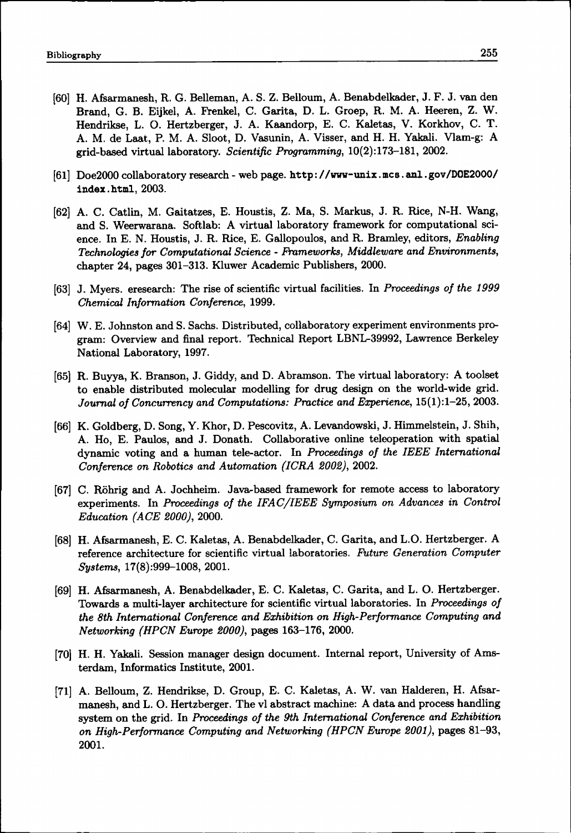- [60]] H. Afsarmanesh, R. G. Belleman, A. S. Z. Belloum, A. Benabdelkader, J. F. J. van den Brand,, G. B. Eijkel, A. Frenkel, C. Garita, D. L. Groep, R. M. A. Heeren, Z. W. Hendrikse,, L. O. Hertzberger, J. A. Kaandorp, E. C. Kaletas, V. Korkhov, C. T. A.. M. de Laat, P. M. A. Sloot, D. Vasunin, A. Visser, and H. H. Yakali. Vlam-g: A grid-based virtual laboratory. Scientific Programming, 10(2):173-181, 2002.
- [61]] Doe2000 collaboratory research web page, **http**: **//www-unix**. mcs. **anl**. **gov/D0E2000/ index.html,,** 2003.
- [62]] A. C. Catlin, M. Gaitatzes, E. Houstis, Z. Ma, S. Markus, J. R. Rice, N-H. Wang, and S. Weerwarana. Softlab: A virtual laboratory framework for computational science.. In E. N. Houstis, J. R. Rice, E. Gallopoulos, and R. Bramley, editors, *Enabling Technologies for Computational Science - Frameworks, Middleware and Environments,* chapter 24, pages 301-313. Kluwer Academic Publishers, 2000.
- [63]] J. Myers, eresearch: The rise of scientific virtual facilities. In *Proceedings of the 1999 Chemical Information Conference, 1999.*
- [64]] W. E. Johnston and S. Sachs. Distributed, collaboratory experiment environments program:: Overview and final report. Technical Report LBNL-39992, Lawrence Berkeley National Laboratory, 1997.
- [65]] R. Buyya, K. Branson, J. Giddy, and D. Abramson. The virtual laboratory: A toolset to enable distributed molecular modelling for drug design on the world-wide grid. *Journal of Concurrency and Computations: Practice and Experience,* 15(1):1–25, 2003.
- [66]] K. Goldberg, D. Song, Y. Khor, D. Pescovitz, A. Levandowski, J. Himmelstein, J. Shih, A.. Ho, E. Paulos, and J. Donath. Collaborative online teleoperation with spatial dynamic voting and a human tele-actor. In *Proceedings of the IEEE International Conference on Robotics and Automation (ICRA 2002), 2002.*
- [67]] C. Róhrig and A. Jochheim. Java-based framework for remote access to laboratory experiments.. In *Proceedings of the IFAC/IEEE Symposium on Advances in Control Education (ACE 2000)*, 2000.
- [68]] H. Afsarmanesh, E. C. Kaletas, A. Benabdelkader, C. Garita, and L.O. Hertzberger. A reference architecture for scientific virtual laboratories. Future Generation Computer *Systems,* 17(8):999-1008, 2001.
- [69]] H. Afsarmanesh, A. Benabdelkader, E. C. Kaletas, C. Garita, and L. O. Hertzberger. Towards a multi-layer architecture for scientific virtual laboratories. In Proceedings of the 8th International Conference and Exhibition on High-Performance Computing and *Networking (HPCN Europe 2000), pages 163-176, 2000.*
- [70]] H. H. Yakali. Session manager design document. Internal report, University of Amsterdam,, Informatics Institute, 2001.
- [71]] A. Belloum, Z. Hendrikse, D. Group, E. C. Kaletas, A. W. van Halderen, H. Afsarmanesh,, and L. O. Hertzberger. The vl abstract machine: A data and process handling system on the grid. In *Proceedings of the 9th International Conference and Exhibition on High-Performance Computing and Networking (HPCN Europe 2001)*, pages 81–93, 2001. .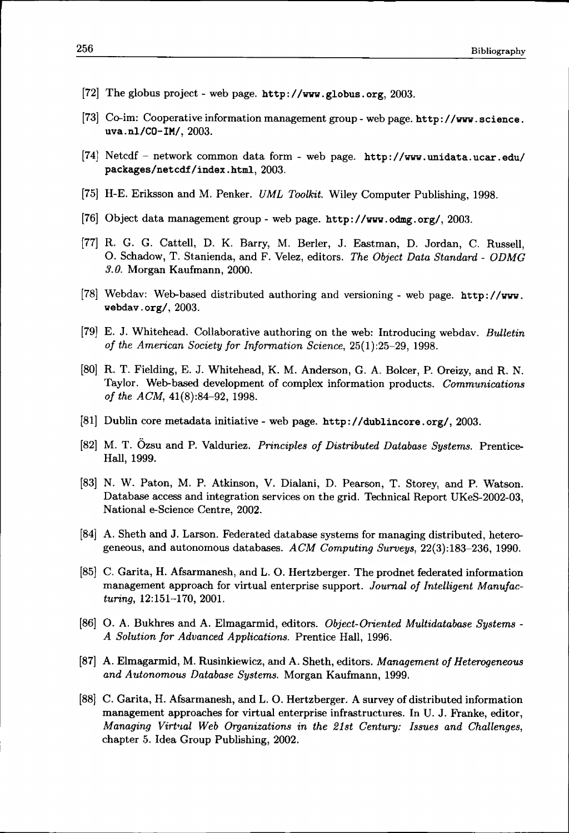- [72]] The globus project web page, http : //www. globus. org, 2003.
- [73]] Co-im: Cooperative information management group web page, http : //www. science . uva.nl/CO-IM/, 2003.
- [74]] Netcdf network common data form web page, [http://www.unidata.ucar.edu](http://www.unidata.ucar.edu/)/ packages/netcdf/index.html, 2003.
- [75]] H-E. Eriksson and M. Penker. *UML Toolkit.* Wiley Computer Publishing, 1998.
- [76]] Object data management group web page,<http://www.odmg.org/>, 2003.
- [77]] R. G. G. Cattell, D. K. Barry, M. Berler, J. Eastman, D. Jordan, C. Russell, O.. Schadow, T. Stanienda, and F. Velez, editors. *The Object Data Standard - ODMG 3.0.3.0.* Morgan Kaufmann, 2000.
- [78]] Webdav: Web-based distributed authoring and versioning web page, <http://www>. [webdav.org/,](http://webdav.org/)  $2003$ .
- [79]] E. J. Whitehead. Collaborative authoring on the web: Introducing webdav. *Bulletin of the American Society for Information Science,* 25(1):25-29, 1998.
- [80]] R. T. Fielding, E. J. Whitehead, K. M. Anderson, G. A. Bolcer, P. Oreizy, and R. N. Taylor.. Web-based development of complex information products. *Communications of the ACM,* 41(8):84-92, 1998.
- [81]] Dublin core metadata initiative web page,<http://dublincore.org/>, 2003.
- [82]] M. T. Ozsu and P. Valduriez. *Principles of Distributed Database Systems.* Prentice-Hall, 1999.
- [83]] N. W. Paton, M. P. Atkinson, V. Dialani, D. Pearson, T. Storey, and P. Watson. Database access and integration services on the grid. Technical Report UKeS-2002-03, National e-Science Centre, 2002.
- [84] A. Sheth and J. Larson. Federated database systems for managing distributed, heterogeneous,, and autonomous databases. *ACM Computing Surveys,* 22(3): 183-236, 1990.
- [85]] C. Garita, H. Afsarmanesh, and L. O. Hertzberger. The prodnet federated information management approach for virtual enterprise support. Journal of Intelligent Manufac*turing,turing,* 12:151-170, 2001.
- [86]] O. A. Bukhres and A. Elmagarmid, editors. *Object-Oriented Multidatabase Systems - AA Solution for Advanced Applications.* Prentice Hall, 1996.
- [87]] A. Elmagarmid, M. Rusinkiewicz, and A. Sheth, editors. *Management of Heterogeneous*  and Autonomous Database Systems. Morgan Kaufmann, 1999.
- [88]] C. Garita, H. Afsarmanesh, and L. O. Hertzberger. A survey of distributed information management approaches for virtual enterprise infrastructures. In U. J. Franke, editor, *Managing Virtual Web Organizations in the 21st Century: Issues and Challenges,* chapter 5. Idea Group Publishing, 2002.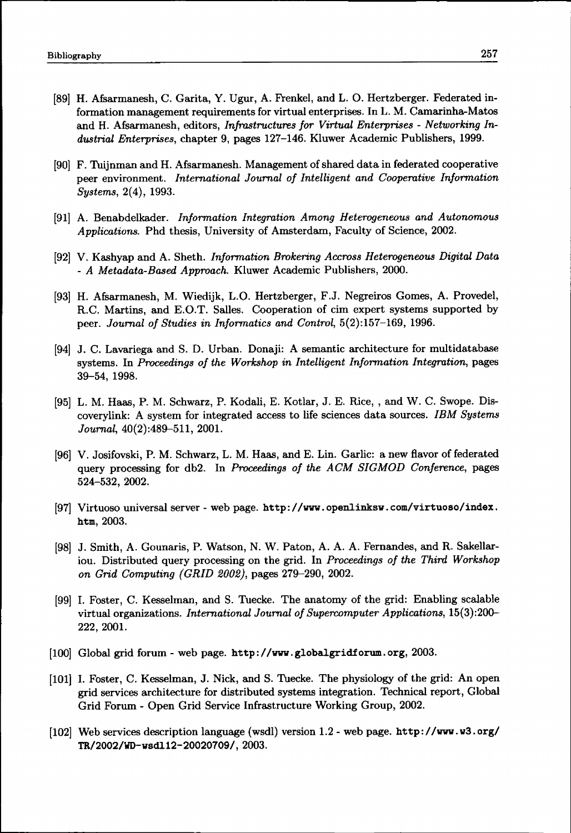- [89]] H. Afsarmanesh, C. Garita, Y. Ugur, A. Frenkel, and L. O. Hertzberger. Federated information management requirements for virtual enterprises. In L. M. Camarinha-Matos and H. Afsarmanesh, editors, *Infrastructures for Virtual Enterprises - Networking Industrialdustrial Enterprises,* chapter 9, pages 127-146. Kluwer Academic Publishers, 1999.
- [90]] F. Tuijnman and H. Afsarmanesh. Management of shared data in federated cooperative peer environment. *International Journal of Intelligent and Cooperative Information Systems,* 2(4), 1993.
- [91]] A. Benabdelkader. *Information Integration Among Heterogeneous and Autonomous Applications.* Phd thesis, University of Amsterdam, Faculty of Science, 2002.
- [92]] V. Kashyap and A. Sheth. *Information Brokering Accross Heterogeneous Digital Data -- A Metadata-Based Approach.* Kluwer Academic Publishers, 2000.
- [93]] H. Afsarmanesh, M. Wiedijk, L.O. Hertzberger, F.J. Negreiros Gomes, A. Provedel, R.C. Martins, and E.O.T. Salles. Cooperation of cim expert systems supported by peer.. *Journal of Studies in Informatics and Control,* 5(2): 157-169, 1996.
- [94]] J. C. Lavariega and S. D. Urban. Donaji: A semantic architecture for multidatabase systems.. In *Proceedings of the Workshop in Intelligent Information Integration,* pages 39-54, 1998.
- [95]] L. M. Haas, P. M. Schwarz, P. Kodali, E. Kotlar, J. E. Rice, , and W. C. Swope. Discoverylink:: A system for integrated access to life sciences data sources. *IBM Systems Journal*,  $40(2):489-511$ ,  $2001$ .
- [96]] V. Josifovski, P. M. Schwarz, L. M. Haas, and E. Lin. Garlic: a new flavor of federated queryy processing for db2. In *Proceedings of the ACM SIGMOD Conference,* pages 524-532, 2002.
- [97]] Virtuoso universal server web page, <http://www.openlinksw.com/virtuoso/index>. htm, 2003.
- [98]] J. Smith, A. Gounaris, P. Watson, N. W. Paton, A. A. A. Fernandes, and R. Sakellariou.. Distributed query processing on the grid. In *Proceedings of the Third Workshop on Grid Computing (GRID 2002)*, pages 279-290, 2002.
- [99]] I. Foster, C. Kesselman, and S. Tuecke. The anatomy of the grid: Enabling scalable virtuall organizations. *International Journal of Supercomputer Applications,* 15(3) :200- 222,, 2001.
- [100] Global grid forum web page,<http://www.globalgridforum.org>, 2003.
- [101] I. Foster, C. Kesselman, J. Nick, and S. Tuecke. The physiology of the grid: An open gridd services architecture for distributed systems integration. Technical report, Global Grid Forum - Open Grid Service Infrastructure Working Group, 2002.
- [102]] Web services description language (wsdl) version 1.2 web page, [http://www.w3.org](http://www.w3.org/)/ TR/2002/WD-wsdll2-20020709/,, 2003.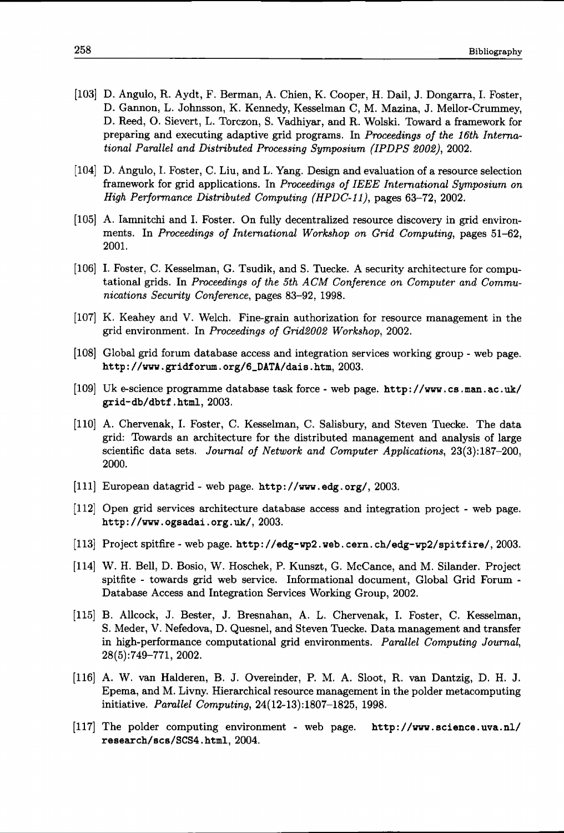- [103]] D. Angulo, R. Aydt, F. Berman, A. Chien, K. Cooper, H. Dail, J. Dongarra, I. Foster, D.. Gannon, L. Johnsson, K. Kennedy, Kesselman C, M. Mazina, J. Mellor-Crummey, D.. Reed, O. Sievert, L. Torczon, S. Vadhiyar, and R. Wolski. Toward a framework for preparing and executing adaptive grid programs. In Proceedings of the 16th Interna*tional Parallel and Distributed Processing Symposium (IPDPS 2002), 2002.*
- [104]] D. Angulo, I. Foster, C. Liu, and L. Yang. Design and evaluation of a resource selection frameworkk for grid applications. In *Proceedings of IEEE International Symposium on High Performance Distributed Computing (HPDC-11),* pages 63-72, 2002.
- [105]] A. Iamnitchi and I. Foster. On fully decentralized resource discovery in grid environments.. In *Proceedings of International Workshop on Grid Computing,* pages 51-62, 2001. .
- [106]] I. Foster, C. Kesselman, G. Tsudik, and S. Tuecke. A security architecture for computational grids. In Proceedings of the 5th ACM Conference on Computer and Commu*nications Security Conference, pages 83-92, 1998.*
- [107]] K. Keahey and V. Welch. Fine-grain authorization for resource management in the grid environment. In Proceedings of Grid2002 Workshop, 2002.
- [108]] Global grid forum database access and integration services working group web page, [http://www.gridforum.org/6\\_DATA/dais.htm,](http://www.gridforum.org/6_DATA/dais.htm), 2003.
- [109]] Uk e-science programme database task force web page, [http://www.cs.man.ac.uk](http://www.cs.man.ac.uk/)/ grid-db/dbtf.html, 2003.
- [110]] A. Chervenak, I. Foster, C. Kesselman, C. Salisbury, and Steven Tuecke. The data grid:: Towards an architecture for the distributed management and analysis of large scientific data sets. *Journal of Network and Computer Applications*, 23(3):187-200, 2000. .
- [Ill]] European datagrid web page,<http://www.edg.org/>, 2003.
- [112]] Open grid services architecture database access and integration project web page. [http://www.ogsadai.org.uk/,](http://www.ogsadai.org.uk/) 2003.
- [113]] Project spitfire web page, http : //edg-wp2. web. cern. ch/edg-wp2/spitf ire/ , 2003.
- [114]] W. H. Bell, D. Bosio, W. Hoschek, P. Kunszt, G. McCance, and M. Silander. Project spitfite - towards grid web service. Informational document, Global Grid Forum -Database Access and Integration Services Working Group, 2002.
- [115]] B. Allcock, J. Bester, J. Bresnahan, A. L. Chervenak, I. Foster, C. Kesselman, S.. Meder, V. Nefedova, D. Quesnel, and Steven Tuecke. Data management and transfer in high-performance computational grid environments. Parallel Computing Journal, 28(5):749-771,, 2002.
- [116]] A. W. van Halderen, B. J. Overeinder, P. M. A. Sloot, R. van Dantzig, D. H. J. Epema,, and M. Livny. Hierarchical resource management in the polder metacomputing initiative.. *Parallel Computing,* 24(12-13):1807-1825, 1998.
- [117]] The polder computing environment web page. [http://www.science.uva.nl](http://www.science.uva.nl/)/ research/scs/SCS4.html,, 2004.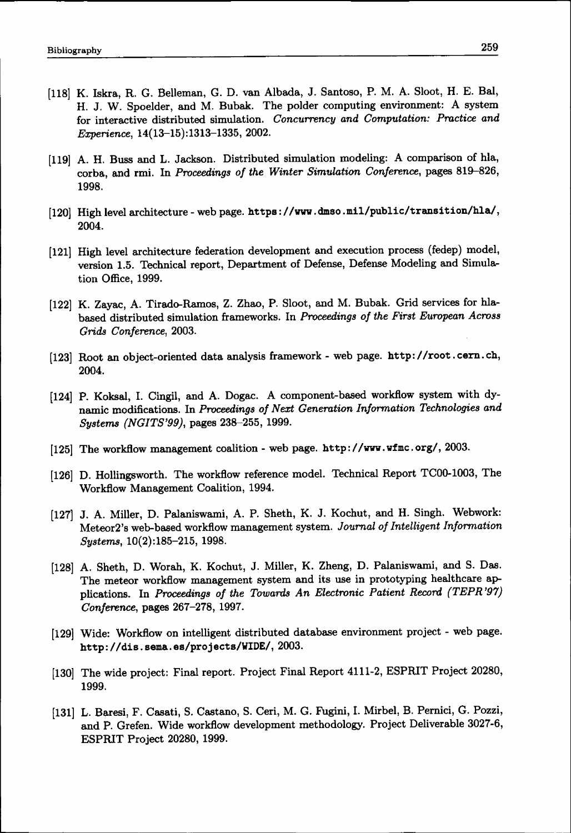- [118]] K. Iskra, R. G. Belleman, G. D. van Albada, J. Santoso, P. M. A. Sloot, H. E. Bal, H.. J. W. Spoelder, and M. Bubak. The polder computing environment: A system for interactive distributed simulation. Concurrency and Computation: Practice and *Experience*, 14(13-15): 1313-1335, 2002.
- [119]] A. H. Buss and L. Jackson. Distributed simulation modeling: A comparison of hla, corba,, and rmi. In *Proceedings of the Winter Simulation Conference,* pages 819-826, 1998. .
- [120] High level architecture web page, https://www.dmso.mil/public/transition/hla/, 2004. .
- [121] High level architecture federation development and execution process (fedep) model, version 1.5. Technical report, Department of Defense, Defense Modeling and Simulation Office, 1999.
- [122] K. Zayac, A. Tirado-Ramos, Z. Zhao, P. Sloot, and M. Bubak. Grid services for hlabased distributed simulation frameworks. In Proceedings of the First European Across *GridsGrids Conference,* 2003.
- [123] Root an object-oriented data analysis framework web page, <http://root.cern.ch>, 2004. .
- [124] P. Koksal, I. Cingil, and A. Dogac. A component-based workflow system with dynamicc modifications. In *Proceedings of Next Generation Information Technologies and Systems (NGITS'99)*, pages 238-255, 1999.
- [125]] The workflow management coalition web page,<http://www.wfmc.org/>, 2003.
- [126] D. Hollingsworth. The workflow reference model. Technical Report TC00-1003, The Workflow Management Coalition, 1994.
- [127] J. A. Miller, D. Palaniswami, A. P. Sheth, K. J. Kochut, and H. Singh. Webwork: Meteor2'ss web-based workflow management system. *Journal of Intelligent Information Systems,* 10(2): 185-215, 1998.
- [128]] A. Sheth, D. Worah, K. Kochut, J. Miller, K. Zheng, D. Palaniswami, and S. Das. The meteor workflow management system and its use in prototyping healthcare applications.. In *Proceedings of the Towards An Electronic Patient Record (TEPR '97) Conference, pages 267-278, 1997.*
- [129]] Wide: Workflow on intelligent distributed database environment project web page, http://dis.sema.es/projects/WIDE/, 2003.
- [130] The wide project: Final report. Project Final Report 4111-2, ESPRIT Project 20280, 1999. .
- [131]] L. Baresi, F. Casati, S. Castano, S. Ceri, M. G. Fugini, I. Mirbel, B. Pernici, G. Pozzi, and P. Grefen. Wide workflow development methodology. Project Deliverable 3027-6, ESPRIT Project 20280, 1999.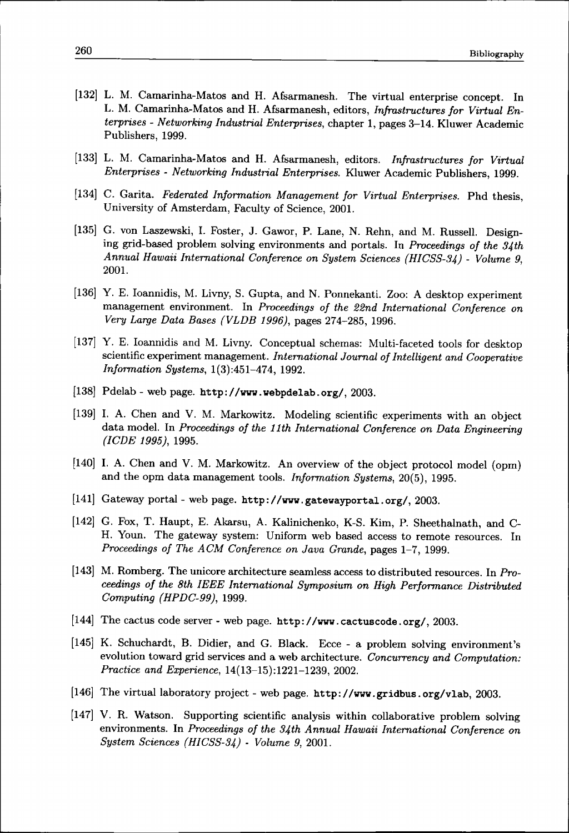- [132]] L. M. Camarinha-Matos and H. Afsarmanesh. The virtual enterprise concept. In L.. M. Camarinha-Matos and H. Afsarmanesh, editors, *Infrastructures for Virtual Enterprises* - *Networking Industrial Enterprises,* chapter 1, pages 3–14. Kluwer Academic Publishers, 1999.
- [133]] L. M. Camarinha-Matos and H. Afsarmanesh, editors. *Infrastructures for Virtual*  Enterprises - Networking Industrial Enterprises. Kluwer Academic Publishers, 1999.
- [134]] C. Garita. *Federated Information Management for Virtual Enterprises.* Phd thesis, University of Amsterdam, Faculty of Science, 2001.
- [135] G. von Laszewski, I. Foster, J. Gawor, P. Lane, N. Rehn, and M. Russell. Designingg grid-based problem solving environments and portals. In *Proceedings of the 34th Annual Hawaii International Conference on System Sciences (HICSS-34) - Volume 9,* 2001. .
- [136] Y. E. Ioannidis, M. Livny, S. Gupta, and N. Ponnekanti. Zoo: A desktop experiment management environment. In Proceedings of the 22nd International Conference on *Very Large Data Bases (VLDB 1996)*, pages 274-285, 1996.
- [137] Y. E. Ioannidis and M. Livny. Conceptual schemas: Multi-faceted tools for desktop scientific experiment management. International Journal of Intelligent and Cooperative *Information Systems,* 1(3):451-474, 1992.
- [138]] Pdelab web page,<http://www.webpdelab.org/>, 2003.
- [139]] I. A. Chen and V. M. Markowitz. Modeling scientific experiments with an object data model. In Proceedings of the 11th International Conference on Data Engineering *(ICDE(ICDE 1995),* 1995.
- [140] I. A. Chen and V. M. Markowitz. An overview of the object protocol model (opm) and the opm data management tools. *Information Systems*, 20(5), 1995.
- [141]] Gateway portal web page,<http://www.gatewayportal.org/>, 2003.
- [142]] G. Fox, T. Haupt, E. Akarsu, A. Kalinichenko, K-S. Kim, P. Sheethalnath, and C-H.. Youn. The gateway system: Uniform web based access to remote resources. In *Proceedings of The ACM Conference on Java Grande, pages 1-7, 1999.*
- [143]] M. Romberg. The unicore architecture seamless access to distributed resources. In *Proceedings of the 8th IEEE International Symposium on High Performance Distributed Computing (HPDC-99),* 1999.
- [144]] The cactus code server web page,<http://www.cactuscode.org/>, 2003.
- [145]] K. Schuchardt, B. Didier, and G. Black. Ecce a problem solving environment's evolution toward grid services and a web architecture. *Concurrency and Computation: Practice and Experience,* 14(13-15):1221-1239, 2002.
- [146]] The virtual laboratory project web page,<http://www.gridbus.org/vlab>, 2003.
- [147]] V. R. Watson. Supporting scientific analysis within collaborative problem solving environments.. In *Proceedings of the 34th Annual Hawaii International Conference on SystemSystem Sciences (HICSS-34) - Volume 9,* 2001.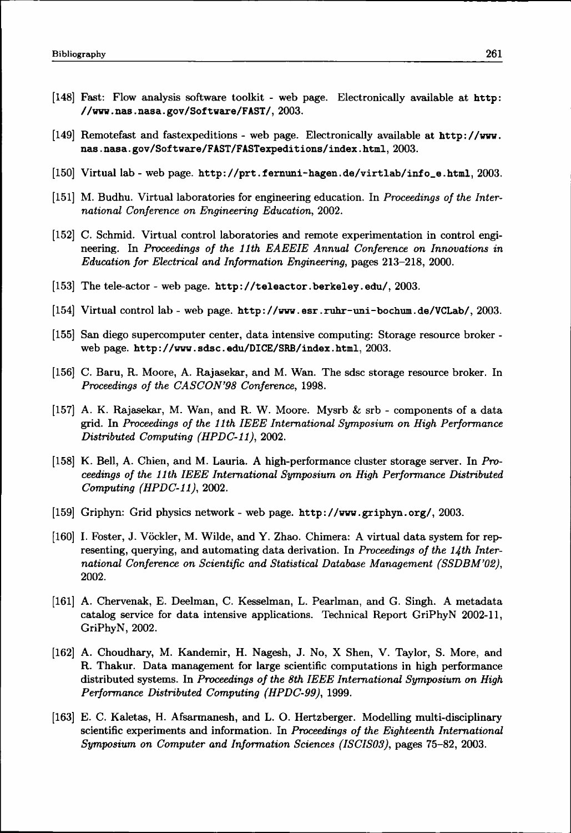- [148] Fast: Flow analysis software toolkit web page. Electronically available at http: //[www.nas.nasa.gov/Software/FAST/,](http://www.nas.nasa.gov/Software/FAST/) 2003.
- [149]] Remotefast and fastexpeditions web page. Electronically available at <http://www>. nas.[nasa.gov/Software/FAST/FASTexpeditions/index.html,](http://nasa.gov/Software/FAST/FASTexpeditions/index.html), 2003.
- [150]] Virtual lab web page, [http://prt.fernuni-hagen.de/virtlab/info\\_e.html](http://prt.fernuni-hagen.de/virtlab/info_e.html), 2003.
- [151]] M. Budhu. Virtual laboratories for engineering education. In *Proceedings of the International Conference on Engineering Education, 2002.*
- [152]] C. Schmid. Virtual control laboratories and remote experimentation in control engineering.. In *Proceedings of the 11th EAEEIE Annual Conference on Innovations in Education for Electrical and Information Engineering, pages 213-218, 2000.*
- [153]] The tele-actor web page,<http://teleactor.berkeley.edu/>, 2003.
- [154]] Virtual control lab web page.<http://www.esr.ruhr-uni-bochum.de/VCLab/>, 2003.
- [155]] San diego supercomputer center, data intensive computing: Storage resource broker web page.<http://www.sdsc.edu/DICE/SRB/index.html>, 2003.
- [156]] C. Baru, R. Moore, A. Rajasekar, and M. Wan. The sdsc storage resource broker. In *Proceedings of the CASCON'98 Conference, 1998.*
- [157]] A. K. Rajasekar, M. Wan, and R. W. Moore. Mysrb & srb components of a data grid.. In *Proceedings of the 11th IEEE International Symposium on High Performance Distributed Computing (HPDC-11), 2002.*
- [158]] K. Bell, A. Chien, and M. Lauria. A high-performance cluster storage server. In *Proceedings of the 11th IEEE International Symposium on High Performance Distributed Computing (HPDC-11)*, 2002.
- [159]] Griphyn: Grid physics network web page,<http://www.griphyn.org/>, 2003.
- [160] I. Foster, J. Vöckler, M. Wilde, and Y. Zhao. Chimera: A virtual data system for representing, querying, and automating data derivation. In *Proceedings of the 14th International Conference on Scientific and Statistical Database Management (SSDBM'02),* 2002. .
- [161]] A. Chervenak, E. Deelman, C. Kesselman, L. Pearlman, and G. Singh. A metadata catalog service for data intensive applications. Technical Report GriPhyN 2002-11, GriPhyN, 2002.
- [162]] A. Choudhary, M. Kandemir, H. Nagesh, J. No, X Shen, V. Taylor, S. More, and R.. Thakur. Data management for large scientific computations in high performance distributed systems. In *Proceedings of the 8th IEEE International Symposium on High Performance Distributed Computing (HPDC-99),* 1999.
- [163]] E. C. Kaletas, H. Afsarmanesh, and L. O. Hertzberger. Modelling multi-disciplinary scientific experiments and information. In *Proceedings of the Eighteenth International Symposium on Computer and Information Sciences (ISCIS03)*, pages 75-82, 2003.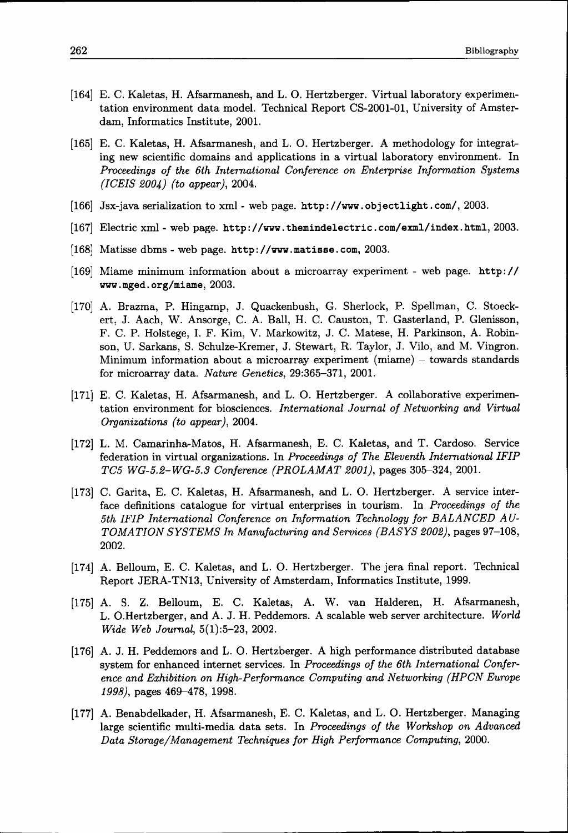- [164] E. C. Kaletas, H. Afsarmanesh, and L. O. Hertzberger. Virtual laboratory experimentation environment data model. Technical Report CS-2001-01, University of Amsterdam, Informatics Institute, 2001.
- [165]] E. C. Kaletas, H. Afsarmanesh, and L. O. Hertzberger. A methodology for integrating new scientific domains and applications in a virtual laboratory environment. In *Proceedings of the 6th International Conference on Enterprise Information Systems (ICEIS(ICEIS 2004) (to appear),* 2004.
- [166]] Jsx-java serialization to xml web page,<http://www.objectlight.com/>, 2003.
- [167] Electric xml web page, http://www.themindelectric.com/exml/index.html, 2003.
- [168]] Matisse dbms web page,<http://www.matisse.com>, 2003.
- [169]] Miame minimum information about a microarray experiment web page, [http:/](http://) / [www.mged.org/miame,](http://www.mged.org/miame), 2003.
- [170]] A. Brazma, P. Hingamp, J. Quackenbush, G. Sherlock, P. Spellman, C. Stoeckert,, J. Aach, W. Ansorge, C. A. Ball, H. C. Causton, T. Gasterland, P. Glenisson, F.. C. P. Holstege, I. F. Kim, V. Markowitz, J. C. Matese, H. Parkinson, A. Robinson,, U. Sarkans, S. Schulze-Kremer, J. Stewart, R. Taylor, J. Vilo, and M. Vingron. Minimum information about a microarray experiment  $(miame)$  - towards standards for microarray data. *Nature Genetics*, 29:365-371, 2001.
- [171]] E. C. Kaletas, H. Afsarmanesh, and L. O. Hertzberger. A collaborative experimentation environment for biosciences. *International Journal of Networking and Virtual Organizations (to appear),* 2004.
- [172]] L. M. Camarinha-Matos, H. Afsarmanesh, E. C. Kaletas, and T. Cardoso. Service federation in virtual organizations. In *Proceedings of The Eleventh International IFIP TC5TC5 WG-5.2-WG-5.3 Conference (PROL AM AT 2001),* pages 305-324, 2001.
- [173]] C. Garita, E. C. Kaletas, H. Afsarmanesh, and L. O. Hertzberger. A service interface definitions catalogue for virtual enterprises in tourism. In Proceedings of the 5th IFIP International Conference on Information Technology for BALANCED AU-*TOMATION SYSTEMS In Manufacturing and Services (BASYS 2002)*, pages 97-108, 2002. .
- [174]] A. Belloum, E. C. Kaletas, and L. O. Hertzberger. The jera final report. Technical Report JERA-TN13, University of Amsterdam, Informatics Institute, 1999.
- [175]] A. S. Z. Belloum, E. C. Kaletas, A. W. van Halderen, H. Afsarmanesh, L.. O.Hertzberger, and A. J. H. Peddemors. A scalable web server architecture. *World Wide Web Journal*,  $5(1):5-23$ , 2002.
- [176] A. J. H. Peddemors and L. O. Hertzberger. A high performance distributed database system for enhanced internet services. In Proceedings of the 6th International Confer*ence and Exhibition on High-Performance Computing and Networking (HPCN Europe 1998*, pages 469–478, 1998.
- [177]] A. Benabdelkader, H. Afsarmanesh, E. C. Kaletas, and L. O. Hertzberger. Managing large scientific multi-media data sets. In Proceedings of the Workshop on Advanced *Data Storage/Management Techniques for High Performance Computing,* 2000.